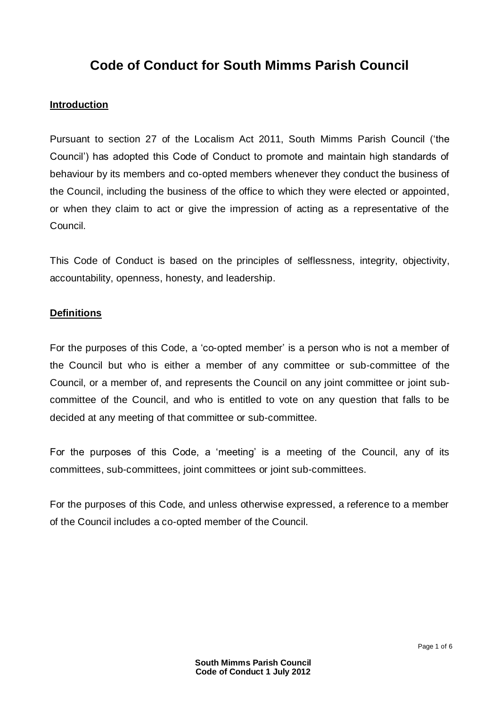# **Code of Conduct for South Mimms Parish Council**

### **Introduction**

Pursuant to section 27 of the Localism Act 2011, South Mimms Parish Council ('the Council') has adopted this Code of Conduct to promote and maintain high standards of behaviour by its members and co-opted members whenever they conduct the business of the Council, including the business of the office to which they were elected or appointed, or when they claim to act or give the impression of acting as a representative of the Council.

This Code of Conduct is based on the principles of selflessness, integrity, objectivity, accountability, openness, honesty, and leadership.

#### **Definitions**

For the purposes of this Code, a 'co-opted member' is a person who is not a member of the Council but who is either a member of any committee or sub-committee of the Council, or a member of, and represents the Council on any joint committee or joint subcommittee of the Council, and who is entitled to vote on any question that falls to be decided at any meeting of that committee or sub-committee.

For the purposes of this Code, a 'meeting' is a meeting of the Council, any of its committees, sub-committees, joint committees or joint sub-committees.

For the purposes of this Code, and unless otherwise expressed, a reference to a member of the Council includes a co-opted member of the Council.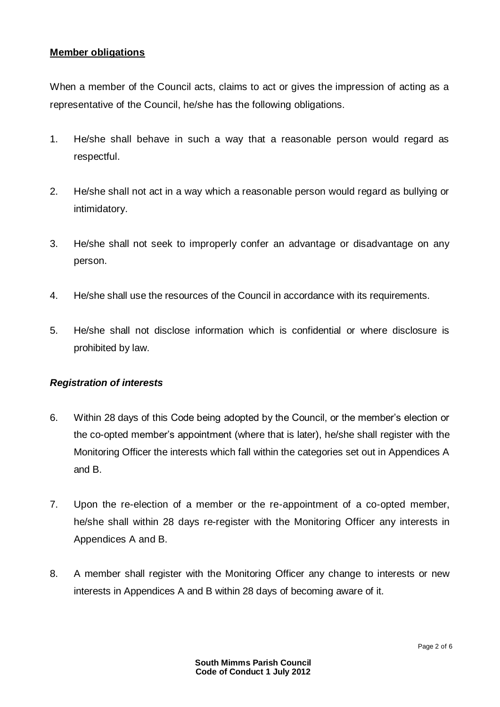#### **Member obligations**

When a member of the Council acts, claims to act or gives the impression of acting as a representative of the Council, he/she has the following obligations.

- 1. He/she shall behave in such a way that a reasonable person would regard as respectful.
- 2. He/she shall not act in a way which a reasonable person would regard as bullying or intimidatory.
- 3. He/she shall not seek to improperly confer an advantage or disadvantage on any person.
- 4. He/she shall use the resources of the Council in accordance with its requirements.
- 5. He/she shall not disclose information which is confidential or where disclosure is prohibited by law.

#### *Registration of interests*

- 6. Within 28 days of this Code being adopted by the Council, or the member's election or the co-opted member's appointment (where that is later), he/she shall register with the Monitoring Officer the interests which fall within the categories set out in Appendices A and B.
- 7. Upon the re-election of a member or the re-appointment of a co-opted member, he/she shall within 28 days re-register with the Monitoring Officer any interests in Appendices A and B.
- 8. A member shall register with the Monitoring Officer any change to interests or new interests in Appendices A and B within 28 days of becoming aware of it.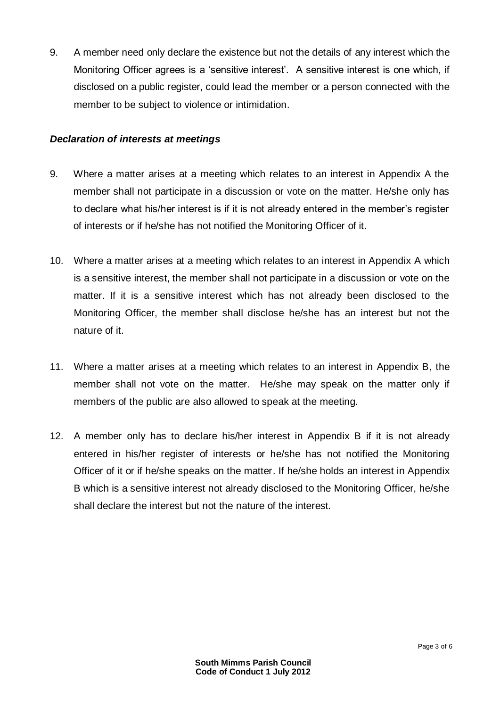9. A member need only declare the existence but not the details of any interest which the Monitoring Officer agrees is a 'sensitive interest'. A sensitive interest is one which, if disclosed on a public register, could lead the member or a person connected with the member to be subject to violence or intimidation.

#### *Declaration of interests at meetings*

- 9. Where a matter arises at a meeting which relates to an interest in Appendix A the member shall not participate in a discussion or vote on the matter. He/she only has to declare what his/her interest is if it is not already entered in the member's register of interests or if he/she has not notified the Monitoring Officer of it.
- 10. Where a matter arises at a meeting which relates to an interest in Appendix A which is a sensitive interest, the member shall not participate in a discussion or vote on the matter. If it is a sensitive interest which has not already been disclosed to the Monitoring Officer, the member shall disclose he/she has an interest but not the nature of it.
- 11. Where a matter arises at a meeting which relates to an interest in Appendix B, the member shall not vote on the matter. He/she may speak on the matter only if members of the public are also allowed to speak at the meeting.
- 12. A member only has to declare his/her interest in Appendix B if it is not already entered in his/her register of interests or he/she has not notified the Monitoring Officer of it or if he/she speaks on the matter. If he/she holds an interest in Appendix B which is a sensitive interest not already disclosed to the Monitoring Officer, he/she shall declare the interest but not the nature of the interest.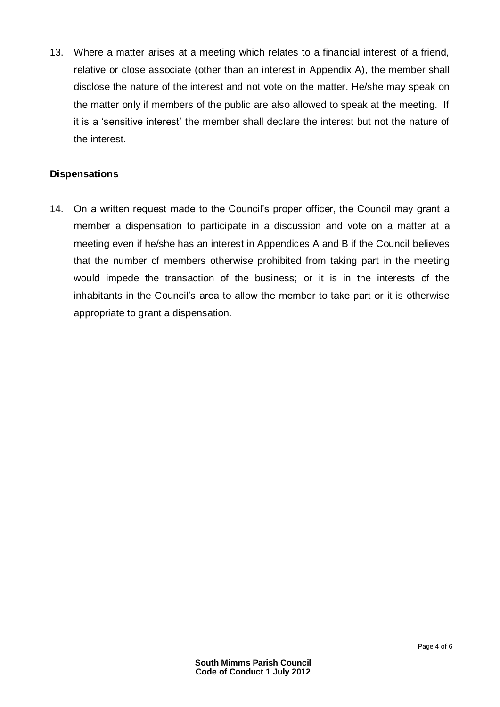13. Where a matter arises at a meeting which relates to a financial interest of a friend, relative or close associate (other than an interest in Appendix A), the member shall disclose the nature of the interest and not vote on the matter. He/she may speak on the matter only if members of the public are also allowed to speak at the meeting. If it is a 'sensitive interest' the member shall declare the interest but not the nature of the interest.

## **Dispensations**

14. On a written request made to the Council's proper officer, the Council may grant a member a dispensation to participate in a discussion and vote on a matter at a meeting even if he/she has an interest in Appendices A and B if the Council believes that the number of members otherwise prohibited from taking part in the meeting would impede the transaction of the business; or it is in the interests of the inhabitants in the Council's area to allow the member to take part or it is otherwise appropriate to grant a dispensation.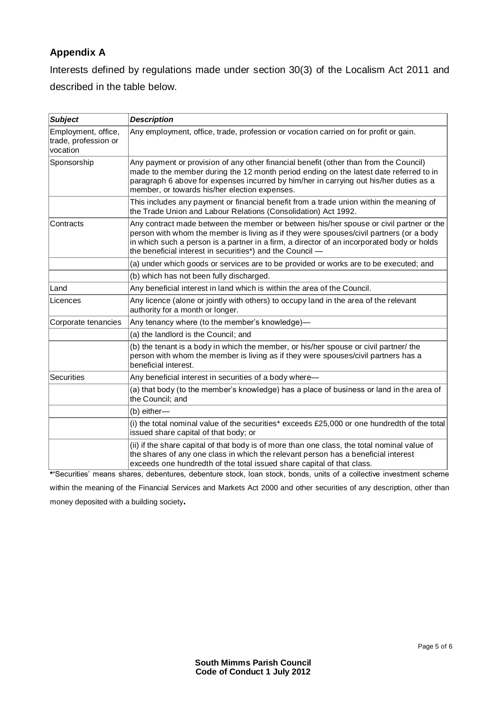# **Appendix A**

Interests defined by regulations made under section 30(3) of the Localism Act 2011 and described in the table below.

| <b>Subject</b>                                          | <b>Description</b>                                                                                                                                                                                                                                                                                                                           |
|---------------------------------------------------------|----------------------------------------------------------------------------------------------------------------------------------------------------------------------------------------------------------------------------------------------------------------------------------------------------------------------------------------------|
| Employment, office,<br>trade, profession or<br>vocation | Any employment, office, trade, profession or vocation carried on for profit or gain.                                                                                                                                                                                                                                                         |
| Sponsorship                                             | Any payment or provision of any other financial benefit (other than from the Council)<br>made to the member during the 12 month period ending on the latest date referred to in<br>paragraph 6 above for expenses incurred by him/her in carrying out his/her duties as a<br>member, or towards his/her election expenses.                   |
|                                                         | This includes any payment or financial benefit from a trade union within the meaning of<br>the Trade Union and Labour Relations (Consolidation) Act 1992.                                                                                                                                                                                    |
| Contracts                                               | Any contract made between the member or between his/her spouse or civil partner or the<br>person with whom the member is living as if they were spouses/civil partners (or a body<br>in which such a person is a partner in a firm, a director of an incorporated body or holds<br>the beneficial interest in securities*) and the Council - |
|                                                         | (a) under which goods or services are to be provided or works are to be executed; and                                                                                                                                                                                                                                                        |
|                                                         | (b) which has not been fully discharged.                                                                                                                                                                                                                                                                                                     |
| Land                                                    | Any beneficial interest in land which is within the area of the Council.                                                                                                                                                                                                                                                                     |
| Licences                                                | Any licence (alone or jointly with others) to occupy land in the area of the relevant<br>authority for a month or longer.                                                                                                                                                                                                                    |
| Corporate tenancies                                     | Any tenancy where (to the member's knowledge)-                                                                                                                                                                                                                                                                                               |
|                                                         | (a) the landlord is the Council; and                                                                                                                                                                                                                                                                                                         |
|                                                         | (b) the tenant is a body in which the member, or his/her spouse or civil partner/ the<br>person with whom the member is living as if they were spouses/civil partners has a<br>beneficial interest.                                                                                                                                          |
| <b>Securities</b>                                       | Any beneficial interest in securities of a body where-                                                                                                                                                                                                                                                                                       |
|                                                         | (a) that body (to the member's knowledge) has a place of business or land in the area of<br>the Council; and                                                                                                                                                                                                                                 |
|                                                         | (b) either-                                                                                                                                                                                                                                                                                                                                  |
|                                                         | (i) the total nominal value of the securities* exceeds £25,000 or one hundredth of the total<br>issued share capital of that body; or                                                                                                                                                                                                        |
|                                                         | (ii) if the share capital of that body is of more than one class, the total nominal value of<br>the shares of any one class in which the relevant person has a beneficial interest<br>exceeds one hundredth of the total issued share capital of that class.                                                                                 |

**\*'**Securities' means shares, debentures, debenture stock, loan stock, bonds, units of a collective investment scheme within the meaning of the Financial Services and Markets Act 2000 and other securities of any description, other than money deposited with a building society**.**